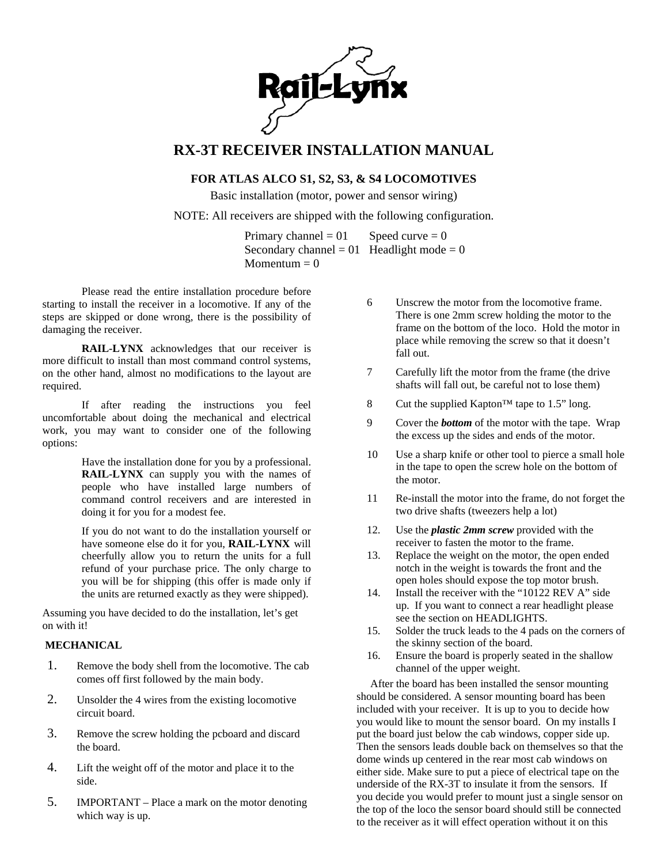

# **RX-3T RECEIVER INSTALLATION MANUAL**

## **FOR ATLAS ALCO S1, S2, S3, & S4 LOCOMOTIVES**

Basic installation (motor, power and sensor wiring)

## NOTE: All receivers are shipped with the following configuration.

Primary channel =  $01$  Speed curve = 0 Secondary channel =  $01$  Headlight mode = 0 Momentum  $= 0$ 

Please read the entire installation procedure before starting to install the receiver in a locomotive. If any of the steps are skipped or done wrong, there is the possibility of damaging the receiver.

**RAIL-LYNX** acknowledges that our receiver is more difficult to install than most command control systems, on the other hand, almost no modifications to the layout are required.

If after reading the instructions you feel uncomfortable about doing the mechanical and electrical work, you may want to consider one of the following options:

> Have the installation done for you by a professional. **RAIL-LYNX** can supply you with the names of people who have installed large numbers of command control receivers and are interested in doing it for you for a modest fee.

> If you do not want to do the installation yourself or have someone else do it for you, **RAIL-LYNX** will cheerfully allow you to return the units for a full refund of your purchase price. The only charge to you will be for shipping (this offer is made only if the units are returned exactly as they were shipped).

Assuming you have decided to do the installation, let's get on with it!

## **MECHANICAL**

- 1. Remove the body shell from the locomotive. The cab comes off first followed by the main body.
- 2. Unsolder the 4 wires from the existing locomotive circuit board.
- 3. Remove the screw holding the pcboard and discard the board.
- 4. Lift the weight off of the motor and place it to the side.
- 5. IMPORTANT Place a mark on the motor denoting which way is up.
- 6 Unscrew the motor from the locomotive frame. There is one 2mm screw holding the motor to the frame on the bottom of the loco. Hold the motor in place while removing the screw so that it doesn't fall out.
- 7 Carefully lift the motor from the frame (the drive shafts will fall out, be careful not to lose them)
- 8 Cut the supplied Kapton™ tape to 1.5" long.
- 9 Cover the *bottom* of the motor with the tape. Wrap the excess up the sides and ends of the motor.
- 10 Use a sharp knife or other tool to pierce a small hole in the tape to open the screw hole on the bottom of the motor.
- 11 Re-install the motor into the frame, do not forget the two drive shafts (tweezers help a lot)
- 12. Use the *plastic 2mm screw* provided with the receiver to fasten the motor to the frame.
- 13. Replace the weight on the motor, the open ended notch in the weight is towards the front and the open holes should expose the top motor brush.
- 14. Install the receiver with the "10122 REV A" side up. If you want to connect a rear headlight please see the section on HEADLIGHTS.
- 15. Solder the truck leads to the 4 pads on the corners of the skinny section of the board.
- 16. Ensure the board is properly seated in the shallow channel of the upper weight.

After the board has been installed the sensor mounting should be considered. A sensor mounting board has been included with your receiver. It is up to you to decide how you would like to mount the sensor board. On my installs I put the board just below the cab windows, copper side up. Then the sensors leads double back on themselves so that the dome winds up centered in the rear most cab windows on either side. Make sure to put a piece of electrical tape on the underside of the RX-3T to insulate it from the sensors. If you decide you would prefer to mount just a single sensor on the top of the loco the sensor board should still be connected to the receiver as it will effect operation without it on this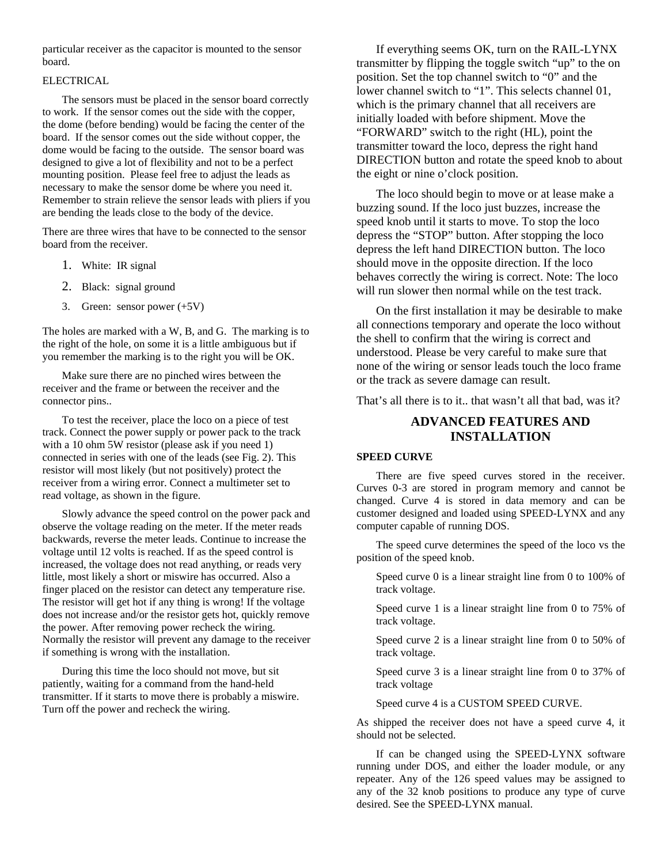particular receiver as the capacitor is mounted to the sensor board.

#### ELECTRICAL

The sensors must be placed in the sensor board correctly to work. If the sensor comes out the side with the copper, the dome (before bending) would be facing the center of the board. If the sensor comes out the side without copper, the dome would be facing to the outside. The sensor board was designed to give a lot of flexibility and not to be a perfect mounting position. Please feel free to adjust the leads as necessary to make the sensor dome be where you need it. Remember to strain relieve the sensor leads with pliers if you are bending the leads close to the body of the device.

There are three wires that have to be connected to the sensor board from the receiver.

- 1. White: IR signal
- 2. Black: signal ground
- 3. Green: sensor power (+5V)

The holes are marked with a W, B, and G. The marking is to the right of the hole, on some it is a little ambiguous but if you remember the marking is to the right you will be OK.

Make sure there are no pinched wires between the receiver and the frame or between the receiver and the connector pins..

To test the receiver, place the loco on a piece of test track. Connect the power supply or power pack to the track with a 10 ohm 5W resistor (please ask if you need 1) connected in series with one of the leads (see Fig. 2). This resistor will most likely (but not positively) protect the receiver from a wiring error. Connect a multimeter set to read voltage, as shown in the figure.

Slowly advance the speed control on the power pack and observe the voltage reading on the meter. If the meter reads backwards, reverse the meter leads. Continue to increase the voltage until 12 volts is reached. If as the speed control is increased, the voltage does not read anything, or reads very little, most likely a short or miswire has occurred. Also a finger placed on the resistor can detect any temperature rise. The resistor will get hot if any thing is wrong! If the voltage does not increase and/or the resistor gets hot, quickly remove the power. After removing power recheck the wiring. Normally the resistor will prevent any damage to the receiver if something is wrong with the installation.

During this time the loco should not move, but sit patiently, waiting for a command from the hand-held transmitter. If it starts to move there is probably a miswire. Turn off the power and recheck the wiring.

If everything seems OK, turn on the RAIL-LYNX transmitter by flipping the toggle switch "up" to the on position. Set the top channel switch to "0" and the lower channel switch to "1". This selects channel 01, which is the primary channel that all receivers are initially loaded with before shipment. Move the "FORWARD" switch to the right (HL), point the transmitter toward the loco, depress the right hand DIRECTION button and rotate the speed knob to about the eight or nine o'clock position.

The loco should begin to move or at lease make a buzzing sound. If the loco just buzzes, increase the speed knob until it starts to move. To stop the loco depress the "STOP" button. After stopping the loco depress the left hand DIRECTION button. The loco should move in the opposite direction. If the loco behaves correctly the wiring is correct. Note: The loco will run slower then normal while on the test track.

On the first installation it may be desirable to make all connections temporary and operate the loco without the shell to confirm that the wiring is correct and understood. Please be very careful to make sure that none of the wiring or sensor leads touch the loco frame or the track as severe damage can result.

That's all there is to it.. that wasn't all that bad, was it?

## **ADVANCED FEATURES AND INSTALLATION**

## **SPEED CURVE**

There are five speed curves stored in the receiver. Curves 0-3 are stored in program memory and cannot be changed. Curve 4 is stored in data memory and can be customer designed and loaded using SPEED-LYNX and any computer capable of running DOS.

The speed curve determines the speed of the loco vs the position of the speed knob.

Speed curve 0 is a linear straight line from 0 to 100% of track voltage.

Speed curve 1 is a linear straight line from 0 to 75% of track voltage.

Speed curve 2 is a linear straight line from 0 to 50% of track voltage.

Speed curve 3 is a linear straight line from 0 to 37% of track voltage

Speed curve 4 is a CUSTOM SPEED CURVE.

As shipped the receiver does not have a speed curve 4, it should not be selected.

If can be changed using the SPEED-LYNX software running under DOS, and either the loader module, or any repeater. Any of the 126 speed values may be assigned to any of the 32 knob positions to produce any type of curve desired. See the SPEED-LYNX manual.